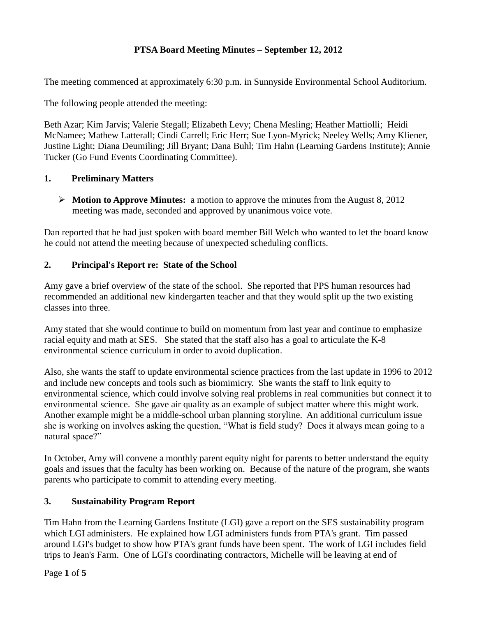# **PTSA Board Meeting Minutes – September 12, 2012**

The meeting commenced at approximately 6:30 p.m. in Sunnyside Environmental School Auditorium.

The following people attended the meeting:

Beth Azar; Kim Jarvis; Valerie Stegall; Elizabeth Levy; Chena Mesling; Heather Mattiolli; Heidi McNamee; Mathew Latterall; Cindi Carrell; Eric Herr; Sue Lyon-Myrick; Neeley Wells; Amy Kliener, Justine Light; Diana Deumiling; Jill Bryant; Dana Buhl; Tim Hahn (Learning Gardens Institute); Annie Tucker (Go Fund Events Coordinating Committee).

# **1. Preliminary Matters**

 **Motion to Approve Minutes:** a motion to approve the minutes from the August 8, 2012 meeting was made, seconded and approved by unanimous voice vote.

Dan reported that he had just spoken with board member Bill Welch who wanted to let the board know he could not attend the meeting because of unexpected scheduling conflicts.

# **2. Principal's Report re: State of the School**

Amy gave a brief overview of the state of the school. She reported that PPS human resources had recommended an additional new kindergarten teacher and that they would split up the two existing classes into three.

Amy stated that she would continue to build on momentum from last year and continue to emphasize racial equity and math at SES. She stated that the staff also has a goal to articulate the K-8 environmental science curriculum in order to avoid duplication.

Also, she wants the staff to update environmental science practices from the last update in 1996 to 2012 and include new concepts and tools such as biomimicry. She wants the staff to link equity to environmental science, which could involve solving real problems in real communities but connect it to environmental science. She gave air quality as an example of subject matter where this might work. Another example might be a middle-school urban planning storyline. An additional curriculum issue she is working on involves asking the question, "What is field study? Does it always mean going to a natural space?"

In October, Amy will convene a monthly parent equity night for parents to better understand the equity goals and issues that the faculty has been working on. Because of the nature of the program, she wants parents who participate to commit to attending every meeting.

# **3. Sustainability Program Report**

Tim Hahn from the Learning Gardens Institute (LGI) gave a report on the SES sustainability program which LGI administers. He explained how LGI administers funds from PTA's grant. Tim passed around LGI's budget to show how PTA's grant funds have been spent. The work of LGI includes field trips to Jean's Farm. One of LGI's coordinating contractors, Michelle will be leaving at end of

Page **1** of **5**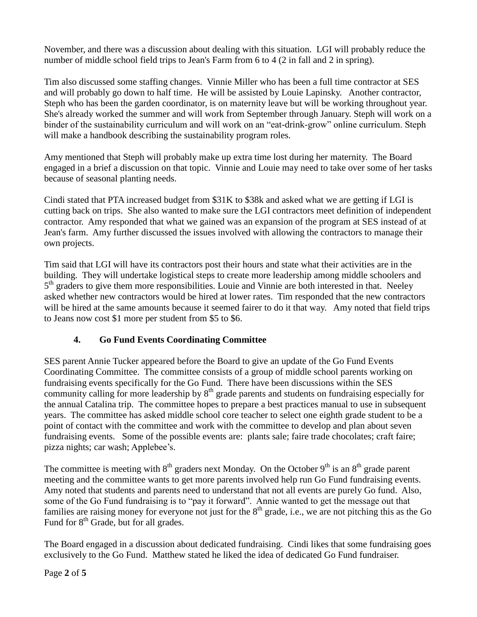November, and there was a discussion about dealing with this situation. LGI will probably reduce the number of middle school field trips to Jean's Farm from 6 to 4 (2 in fall and 2 in spring).

Tim also discussed some staffing changes. Vinnie Miller who has been a full time contractor at SES and will probably go down to half time. He will be assisted by Louie Lapinsky. Another contractor, Steph who has been the garden coordinator, is on maternity leave but will be working throughout year. She's already worked the summer and will work from September through January. Steph will work on a binder of the sustainability curriculum and will work on an "eat-drink-grow" online curriculum. Steph will make a handbook describing the sustainability program roles.

Amy mentioned that Steph will probably make up extra time lost during her maternity. The Board engaged in a brief a discussion on that topic. Vinnie and Louie may need to take over some of her tasks because of seasonal planting needs.

Cindi stated that PTA increased budget from \$31K to \$38k and asked what we are getting if LGI is cutting back on trips. She also wanted to make sure the LGI contractors meet definition of independent contractor. Amy responded that what we gained was an expansion of the program at SES instead of at Jean's farm. Amy further discussed the issues involved with allowing the contractors to manage their own projects.

Tim said that LGI will have its contractors post their hours and state what their activities are in the building. They will undertake logistical steps to create more leadership among middle schoolers and 5<sup>th</sup> graders to give them more responsibilities. Louie and Vinnie are both interested in that. Neeley asked whether new contractors would be hired at lower rates. Tim responded that the new contractors will be hired at the same amounts because it seemed fairer to do it that way. Amy noted that field trips to Jeans now cost \$1 more per student from \$5 to \$6.

# **4. Go Fund Events Coordinating Committee**

SES parent Annie Tucker appeared before the Board to give an update of the Go Fund Events Coordinating Committee. The committee consists of a group of middle school parents working on fundraising events specifically for the Go Fund. There have been discussions within the SES community calling for more leadership by  $8<sup>th</sup>$  grade parents and students on fundraising especially for the annual Catalina trip. The committee hopes to prepare a best practices manual to use in subsequent years. The committee has asked middle school core teacher to select one eighth grade student to be a point of contact with the committee and work with the committee to develop and plan about seven fundraising events. Some of the possible events are: plants sale; faire trade chocolates; craft faire; pizza nights; car wash; Applebee's.

The committee is meeting with  $8<sup>th</sup>$  graders next Monday. On the October  $9<sup>th</sup>$  is an  $8<sup>th</sup>$  grade parent meeting and the committee wants to get more parents involved help run Go Fund fundraising events. Amy noted that students and parents need to understand that not all events are purely Go fund. Also, some of the Go Fund fundraising is to "pay it forward". Annie wanted to get the message out that families are raising money for everyone not just for the  $8<sup>th</sup>$  grade, i.e., we are not pitching this as the Go Fund for  $8<sup>th</sup>$  Grade, but for all grades.

The Board engaged in a discussion about dedicated fundraising. Cindi likes that some fundraising goes exclusively to the Go Fund. Matthew stated he liked the idea of dedicated Go Fund fundraiser.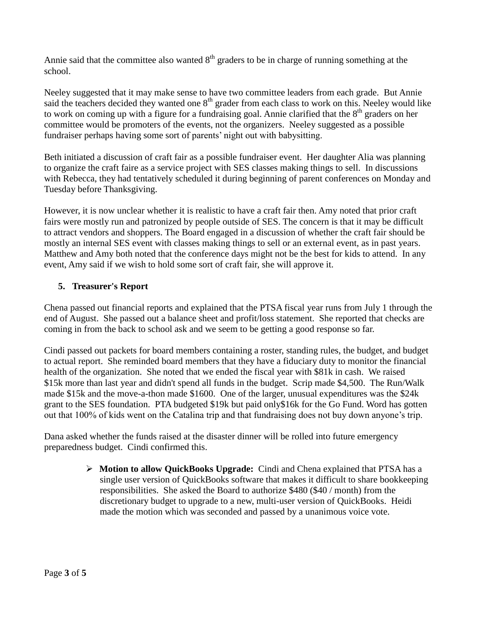Annie said that the committee also wanted  $8<sup>th</sup>$  graders to be in charge of running something at the school.

Neeley suggested that it may make sense to have two committee leaders from each grade. But Annie said the teachers decided they wanted one 8<sup>th</sup> grader from each class to work on this. Neeley would like to work on coming up with a figure for a fundraising goal. Annie clarified that the  $8<sup>th</sup>$  graders on her committee would be promoters of the events, not the organizers. Neeley suggested as a possible fundraiser perhaps having some sort of parents' night out with babysitting.

Beth initiated a discussion of craft fair as a possible fundraiser event. Her daughter Alia was planning to organize the craft faire as a service project with SES classes making things to sell. In discussions with Rebecca, they had tentatively scheduled it during beginning of parent conferences on Monday and Tuesday before Thanksgiving.

However, it is now unclear whether it is realistic to have a craft fair then. Amy noted that prior craft fairs were mostly run and patronized by people outside of SES. The concern is that it may be difficult to attract vendors and shoppers. The Board engaged in a discussion of whether the craft fair should be mostly an internal SES event with classes making things to sell or an external event, as in past years. Matthew and Amy both noted that the conference days might not be the best for kids to attend. In any event, Amy said if we wish to hold some sort of craft fair, she will approve it.

#### **5. Treasurer's Report**

Chena passed out financial reports and explained that the PTSA fiscal year runs from July 1 through the end of August. She passed out a balance sheet and profit/loss statement. She reported that checks are coming in from the back to school ask and we seem to be getting a good response so far.

Cindi passed out packets for board members containing a roster, standing rules, the budget, and budget to actual report. She reminded board members that they have a fiduciary duty to monitor the financial health of the organization. She noted that we ended the fiscal year with \$81k in cash. We raised \$15k more than last year and didn't spend all funds in the budget. Scrip made \$4,500. The Run/Walk made \$15k and the move-a-thon made \$1600. One of the larger, unusual expenditures was the \$24k grant to the SES foundation. PTA budgeted \$19k but paid only\$16k for the Go Fund. Word has gotten out that 100% of kids went on the Catalina trip and that fundraising does not buy down anyone's trip.

Dana asked whether the funds raised at the disaster dinner will be rolled into future emergency preparedness budget. Cindi confirmed this.

> **Motion to allow QuickBooks Upgrade:** Cindi and Chena explained that PTSA has a single user version of QuickBooks software that makes it difficult to share bookkeeping responsibilities. She asked the Board to authorize \$480 (\$40 / month) from the discretionary budget to upgrade to a new, multi-user version of QuickBooks. Heidi made the motion which was seconded and passed by a unanimous voice vote.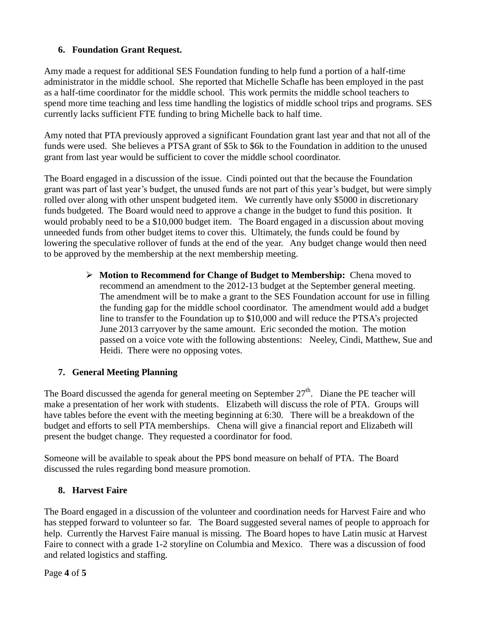# **6. Foundation Grant Request.**

Amy made a request for additional SES Foundation funding to help fund a portion of a half-time administrator in the middle school. She reported that Michelle Schafle has been employed in the past as a half-time coordinator for the middle school. This work permits the middle school teachers to spend more time teaching and less time handling the logistics of middle school trips and programs. SES currently lacks sufficient FTE funding to bring Michelle back to half time.

Amy noted that PTA previously approved a significant Foundation grant last year and that not all of the funds were used. She believes a PTSA grant of \$5k to \$6k to the Foundation in addition to the unused grant from last year would be sufficient to cover the middle school coordinator.

The Board engaged in a discussion of the issue. Cindi pointed out that the because the Foundation grant was part of last year's budget, the unused funds are not part of this year's budget, but were simply rolled over along with other unspent budgeted item. We currently have only \$5000 in discretionary funds budgeted. The Board would need to approve a change in the budget to fund this position. It would probably need to be a \$10,000 budget item. The Board engaged in a discussion about moving unneeded funds from other budget items to cover this. Ultimately, the funds could be found by lowering the speculative rollover of funds at the end of the year. Any budget change would then need to be approved by the membership at the next membership meeting.

> **Motion to Recommend for Change of Budget to Membership:** Chena moved to recommend an amendment to the 2012-13 budget at the September general meeting. The amendment will be to make a grant to the SES Foundation account for use in filling the funding gap for the middle school coordinator. The amendment would add a budget line to transfer to the Foundation up to \$10,000 and will reduce the PTSA's projected June 2013 carryover by the same amount. Eric seconded the motion. The motion passed on a voice vote with the following abstentions: Neeley, Cindi, Matthew, Sue and Heidi. There were no opposing votes.

# **7. General Meeting Planning**

The Board discussed the agenda for general meeting on September  $27<sup>th</sup>$ . Diane the PE teacher will make a presentation of her work with students. Elizabeth will discuss the role of PTA. Groups will have tables before the event with the meeting beginning at 6:30. There will be a breakdown of the budget and efforts to sell PTA memberships. Chena will give a financial report and Elizabeth will present the budget change. They requested a coordinator for food.

Someone will be available to speak about the PPS bond measure on behalf of PTA. The Board discussed the rules regarding bond measure promotion.

#### **8. Harvest Faire**

The Board engaged in a discussion of the volunteer and coordination needs for Harvest Faire and who has stepped forward to volunteer so far. The Board suggested several names of people to approach for help. Currently the Harvest Faire manual is missing. The Board hopes to have Latin music at Harvest Faire to connect with a grade 1-2 storyline on Columbia and Mexico. There was a discussion of food and related logistics and staffing.